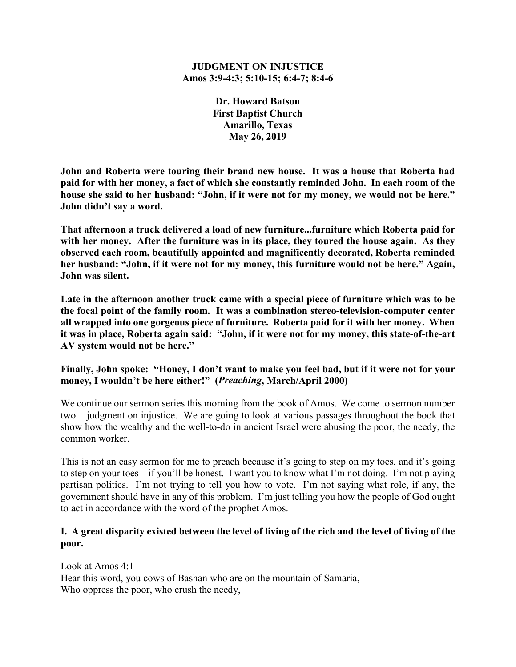#### **JUDGMENT ON INJUSTICE Amos 3:9-4:3; 5:10-15; 6:4-7; 8:4-6**

**Dr. Howard Batson First Baptist Church Amarillo, Texas May 26, 2019**

**John and Roberta were touring their brand new house. It was a house that Roberta had paid for with her money, a fact of which she constantly reminded John. In each room of the house she said to her husband: "John, if it were not for my money, we would not be here." John didn't say a word.**

**That afternoon a truck delivered a load of new furniture...furniture which Roberta paid for with her money. After the furniture was in its place, they toured the house again. As they observed each room, beautifully appointed and magnificently decorated, Roberta reminded her husband: "John, if it were not for my money, this furniture would not be here." Again, John was silent.**

**Late in the afternoon another truck came with a special piece of furniture which was to be the focal point of the family room. It was a combination stereo-television-computer center all wrapped into one gorgeous piece of furniture. Roberta paid for it with her money. When it was in place, Roberta again said: "John, if it were not for my money, this state-of-the-art AV system would not be here."**

## **Finally, John spoke: "Honey, I don't want to make you feel bad, but if it were not for your money, I wouldn't be here either!" (***Preaching***, March/April 2000)**

We continue our sermon series this morning from the book of Amos. We come to sermon number two – judgment on injustice. We are going to look at various passages throughout the book that show how the wealthy and the well-to-do in ancient Israel were abusing the poor, the needy, the common worker.

This is not an easy sermon for me to preach because it's going to step on my toes, and it's going to step on your toes – if you'll be honest. I want you to know what I'm not doing. I'm not playing partisan politics. I'm not trying to tell you how to vote. I'm not saying what role, if any, the government should have in any of this problem. I'm just telling you how the people of God ought to act in accordance with the word of the prophet Amos.

# **I. A great disparity existed between the level of living of the rich and the level of living of the poor.**

Look at Amos 4:1 Hear this word, you cows of Bashan who are on the mountain of Samaria, Who oppress the poor, who crush the needy,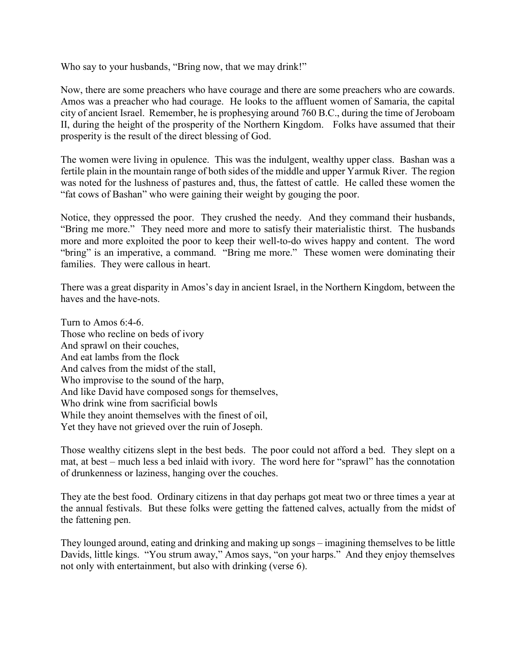Who say to your husbands, "Bring now, that we may drink!"

Now, there are some preachers who have courage and there are some preachers who are cowards. Amos was a preacher who had courage. He looks to the affluent women of Samaria, the capital city of ancient Israel. Remember, he is prophesying around 760 B.C., during the time of Jeroboam II, during the height of the prosperity of the Northern Kingdom. Folks have assumed that their prosperity is the result of the direct blessing of God.

The women were living in opulence. This was the indulgent, wealthy upper class. Bashan was a fertile plain in the mountain range of both sides of the middle and upper Yarmuk River. The region was noted for the lushness of pastures and, thus, the fattest of cattle. He called these women the "fat cows of Bashan" who were gaining their weight by gouging the poor.

Notice, they oppressed the poor. They crushed the needy. And they command their husbands, "Bring me more." They need more and more to satisfy their materialistic thirst. The husbands more and more exploited the poor to keep their well-to-do wives happy and content. The word "bring" is an imperative, a command. "Bring me more." These women were dominating their families. They were callous in heart.

There was a great disparity in Amos's day in ancient Israel, in the Northern Kingdom, between the haves and the have-nots.

Turn to Amos 6:4-6. Those who recline on beds of ivory And sprawl on their couches, And eat lambs from the flock And calves from the midst of the stall, Who improvise to the sound of the harp, And like David have composed songs for themselves, Who drink wine from sacrificial bowls While they anoint themselves with the finest of oil, Yet they have not grieved over the ruin of Joseph.

Those wealthy citizens slept in the best beds. The poor could not afford a bed. They slept on a mat, at best – much less a bed inlaid with ivory. The word here for "sprawl" has the connotation of drunkenness or laziness, hanging over the couches.

They ate the best food. Ordinary citizens in that day perhaps got meat two or three times a year at the annual festivals. But these folks were getting the fattened calves, actually from the midst of the fattening pen.

They lounged around, eating and drinking and making up songs – imagining themselves to be little Davids, little kings. "You strum away," Amos says, "on your harps." And they enjoy themselves not only with entertainment, but also with drinking (verse 6).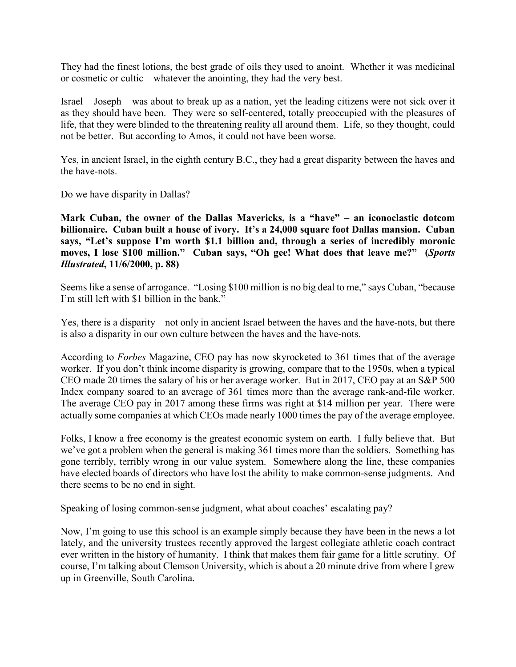They had the finest lotions, the best grade of oils they used to anoint. Whether it was medicinal or cosmetic or cultic – whatever the anointing, they had the very best.

Israel – Joseph – was about to break up as a nation, yet the leading citizens were not sick over it as they should have been. They were so self-centered, totally preoccupied with the pleasures of life, that they were blinded to the threatening reality all around them. Life, so they thought, could not be better. But according to Amos, it could not have been worse.

Yes, in ancient Israel, in the eighth century B.C., they had a great disparity between the haves and the have-nots.

Do we have disparity in Dallas?

**Mark Cuban, the owner of the Dallas Mavericks, is a "have" – an iconoclastic dotcom billionaire. Cuban built a house of ivory. It's a 24,000 square foot Dallas mansion. Cuban says, "Let's suppose I'm worth \$1.1 billion and, through a series of incredibly moronic moves, I lose \$100 million." Cuban says, "Oh gee! What does that leave me?" (***Sports Illustrated***, 11/6/2000, p. 88)**

Seems like a sense of arrogance. "Losing \$100 million is no big deal to me," says Cuban, "because I'm still left with \$1 billion in the bank."

Yes, there is a disparity – not only in ancient Israel between the haves and the have-nots, but there is also a disparity in our own culture between the haves and the have-nots.

According to *Forbes* Magazine, CEO pay has now skyrocketed to 361 times that of the average worker. If you don't think income disparity is growing, compare that to the 1950s, when a typical CEO made 20 times the salary of his or her average worker. But in 2017, CEO pay at an S&P 500 Index company soared to an average of 361 times more than the average rank-and-file worker. The average CEO pay in 2017 among these firms was right at \$14 million per year. There were actually some companies at which CEOs made nearly 1000 times the pay of the average employee.

Folks, I know a free economy is the greatest economic system on earth. I fully believe that. But we've got a problem when the general is making 361 times more than the soldiers. Something has gone terribly, terribly wrong in our value system. Somewhere along the line, these companies have elected boards of directors who have lost the ability to make common-sense judgments. And there seems to be no end in sight.

Speaking of losing common-sense judgment, what about coaches' escalating pay?

Now, I'm going to use this school is an example simply because they have been in the news a lot lately, and the university trustees recently approved the largest collegiate athletic coach contract ever written in the history of humanity. I think that makes them fair game for a little scrutiny. Of course, I'm talking about Clemson University, which is about a 20 minute drive from where I grew up in Greenville, South Carolina.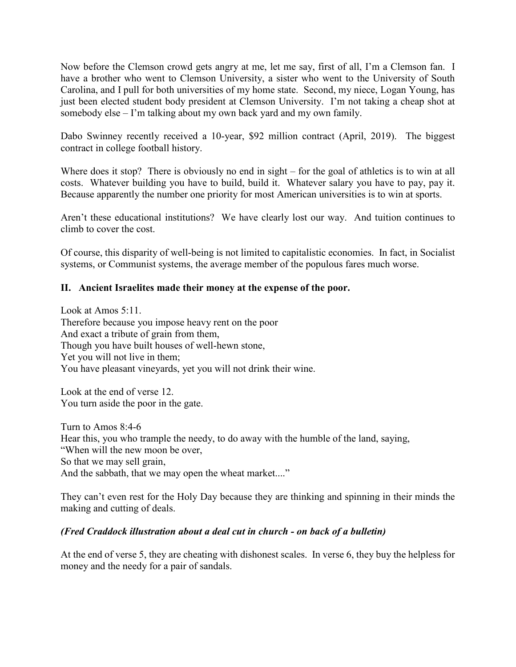Now before the Clemson crowd gets angry at me, let me say, first of all, I'm a Clemson fan. I have a brother who went to Clemson University, a sister who went to the University of South Carolina, and I pull for both universities of my home state. Second, my niece, Logan Young, has just been elected student body president at Clemson University. I'm not taking a cheap shot at somebody else – I'm talking about my own back yard and my own family.

Dabo Swinney recently received a 10-year, \$92 million contract (April, 2019). The biggest contract in college football history.

Where does it stop? There is obviously no end in sight – for the goal of athletics is to win at all costs. Whatever building you have to build, build it. Whatever salary you have to pay, pay it. Because apparently the number one priority for most American universities is to win at sports.

Aren't these educational institutions? We have clearly lost our way. And tuition continues to climb to cover the cost.

Of course, this disparity of well-being is not limited to capitalistic economies. In fact, in Socialist systems, or Communist systems, the average member of the populous fares much worse.

# **II. Ancient Israelites made their money at the expense of the poor.**

Look at Amos 5:11. Therefore because you impose heavy rent on the poor And exact a tribute of grain from them, Though you have built houses of well-hewn stone, Yet you will not live in them; You have pleasant vineyards, yet you will not drink their wine.

Look at the end of verse 12. You turn aside the poor in the gate.

Turn to Amos 8:4-6 Hear this, you who trample the needy, to do away with the humble of the land, saying, "When will the new moon be over, So that we may sell grain, And the sabbath, that we may open the wheat market...."

They can't even rest for the Holy Day because they are thinking and spinning in their minds the making and cutting of deals.

#### *(Fred Craddock illustration about a deal cut in church - on back of a bulletin)*

At the end of verse 5, they are cheating with dishonest scales. In verse 6, they buy the helpless for money and the needy for a pair of sandals.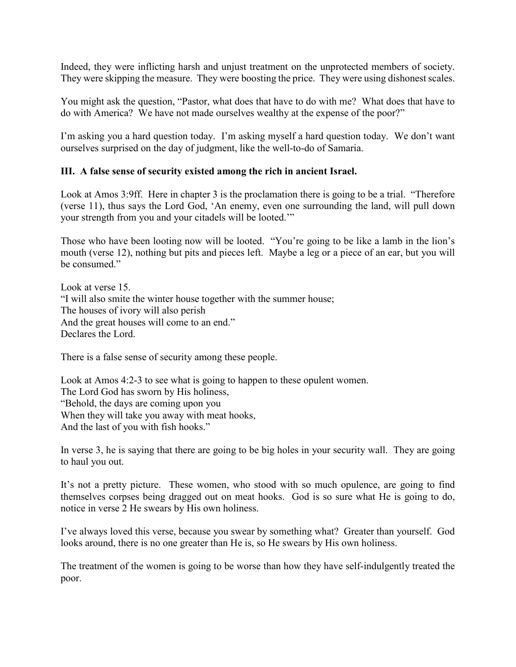Indeed, they were inflicting harsh and unjust treatment on the unprotected members of society. They were skipping the measure. They were boosting the price. They were using dishonest scales.

You might ask the question, "Pastor, what does that have to do with me? What does that have to do with America? We have not made ourselves wealthy at the expense of the poor?"

I'm asking you a hard question today. I'm asking myself a hard question today. We don't want ourselves surprised on the day of judgment, like the well-to-do of Samaria.

## **III. A false sense of security existed among the rich in ancient Israel.**

Look at Amos 3:9ff. Here in chapter 3 is the proclamation there is going to be a trial. "Therefore (verse 11), thus says the Lord God, 'An enemy, even one surrounding the land, will pull down your strength from you and your citadels will be looted.'"

Those who have been looting now will be looted. "You're going to be like a lamb in the lion's mouth (verse 12), nothing but pits and pieces left. Maybe a leg or a piece of an ear, but you will be consumed."

Look at verse 15. "I will also smite the winter house together with the summer house; The houses of ivory will also perish And the great houses will come to an end." Declares the Lord.

There is a false sense of security among these people.

Look at Amos 4:2-3 to see what is going to happen to these opulent women. The Lord God has sworn by His holiness, "Behold, the days are coming upon you When they will take you away with meat hooks, And the last of you with fish hooks."

In verse 3, he is saying that there are going to be big holes in your security wall. They are going to haul you out.

It's not a pretty picture. These women, who stood with so much opulence, are going to find themselves corpses being dragged out on meat hooks. God is so sure what He is going to do, notice in verse 2 He swears by His own holiness.

I've always loved this verse, because you swear by something what? Greater than yourself. God looks around, there is no one greater than He is, so He swears by His own holiness.

The treatment of the women is going to be worse than how they have self-indulgently treated the poor.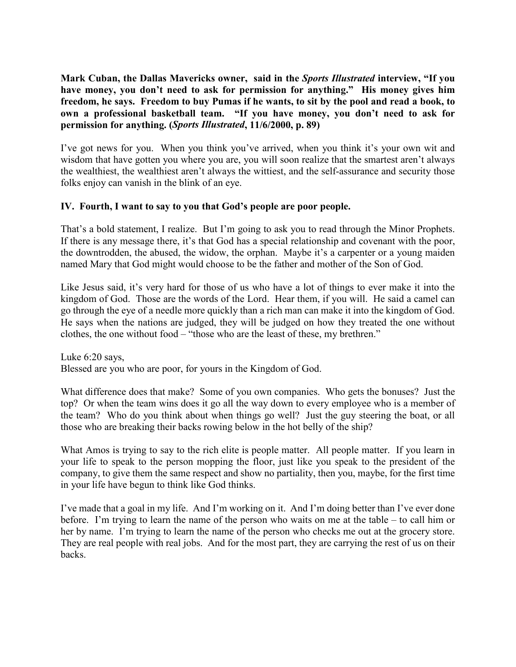**Mark Cuban, the Dallas Mavericks owner, said in the** *Sports Illustrated* **interview, "If you have money, you don't need to ask for permission for anything." His money gives him freedom, he says. Freedom to buy Pumas if he wants, to sit by the pool and read a book, to own a professional basketball team. "If you have money, you don't need to ask for permission for anything. (***Sports Illustrated***, 11/6/2000, p. 89)**

I've got news for you. When you think you've arrived, when you think it's your own wit and wisdom that have gotten you where you are, you will soon realize that the smartest aren't always the wealthiest, the wealthiest aren't always the wittiest, and the self-assurance and security those folks enjoy can vanish in the blink of an eye.

## **IV. Fourth, I want to say to you that God's people are poor people.**

That's a bold statement, I realize. But I'm going to ask you to read through the Minor Prophets. If there is any message there, it's that God has a special relationship and covenant with the poor, the downtrodden, the abused, the widow, the orphan. Maybe it's a carpenter or a young maiden named Mary that God might would choose to be the father and mother of the Son of God.

Like Jesus said, it's very hard for those of us who have a lot of things to ever make it into the kingdom of God. Those are the words of the Lord. Hear them, if you will. He said a camel can go through the eye of a needle more quickly than a rich man can make it into the kingdom of God. He says when the nations are judged, they will be judged on how they treated the one without clothes, the one without food – "those who are the least of these, my brethren."

Luke 6:20 says, Blessed are you who are poor, for yours in the Kingdom of God.

What difference does that make? Some of you own companies. Who gets the bonuses? Just the top? Or when the team wins does it go all the way down to every employee who is a member of the team? Who do you think about when things go well? Just the guy steering the boat, or all those who are breaking their backs rowing below in the hot belly of the ship?

What Amos is trying to say to the rich elite is people matter. All people matter. If you learn in your life to speak to the person mopping the floor, just like you speak to the president of the company, to give them the same respect and show no partiality, then you, maybe, for the first time in your life have begun to think like God thinks.

I've made that a goal in my life. And I'm working on it. And I'm doing better than I've ever done before. I'm trying to learn the name of the person who waits on me at the table – to call him or her by name. I'm trying to learn the name of the person who checks me out at the grocery store. They are real people with real jobs. And for the most part, they are carrying the rest of us on their backs.